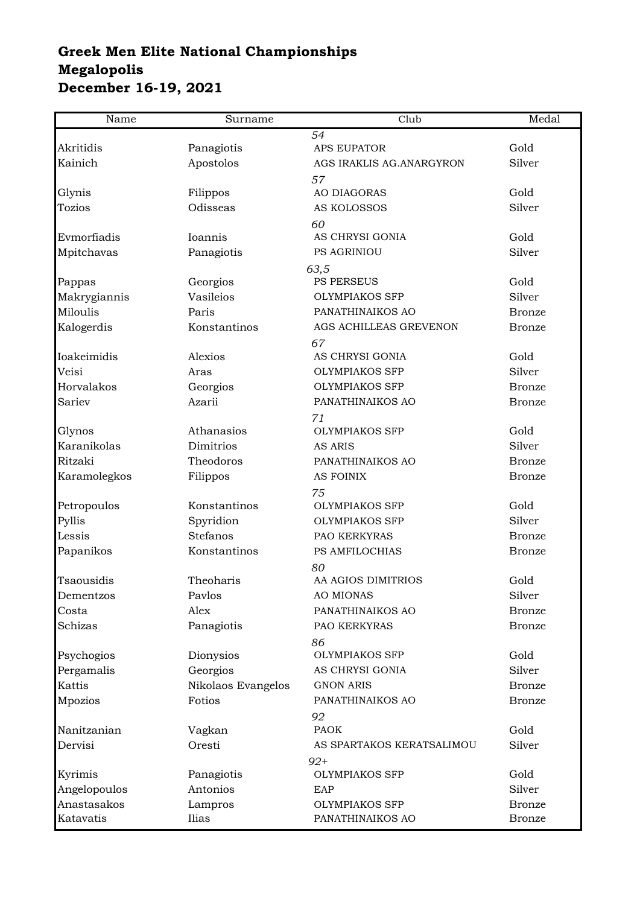## **Greek Men Elite National Championships Megalopolis December 16-19, 2021**

| Name         | Surname            | Club                           | Medal          |
|--------------|--------------------|--------------------------------|----------------|
|              |                    | 54                             |                |
| Akritidis    | Panagiotis         | <b>APS EUPATOR</b>             | Gold           |
| Kainich      | Apostolos          | AGS IRAKLIS AG. ANARGYRON      | Silver         |
|              |                    | 57                             |                |
| Glynis       | Filippos           | <b>AO DIAGORAS</b>             | Gold           |
| Tozios       | Odisseas           | AS KOLOSSOS                    | Silver         |
| Evmorfiadis  |                    | 60                             |                |
|              | Ioannis            | AS CHRYSI GONIA<br>PS AGRINIOU | Gold<br>Silver |
| Mpitchavas   | Panagiotis         |                                |                |
| Pappas       | Georgios           | 63,5<br>PS PERSEUS             | Gold           |
| Makrygiannis | Vasileios          | <b>OLYMPIAKOS SFP</b>          | Silver         |
| Miloulis     | Paris              | PANATHINAIKOS AO               | <b>Bronze</b>  |
| Kalogerdis   | Konstantinos       | AGS ACHILLEAS GREVENON         | <b>Bronze</b>  |
|              |                    | 67                             |                |
| Ioakeimidis  | Alexios            | AS CHRYSI GONIA                | Gold           |
| Veisi        | Aras               | <b>OLYMPIAKOS SFP</b>          | Silver         |
| Horvalakos   | Georgios           | <b>OLYMPIAKOS SFP</b>          | <b>Bronze</b>  |
| Sariev       | Azarii             | PANATHINAIKOS AO               | <b>Bronze</b>  |
|              |                    | 71                             |                |
| Glynos       | Athanasios         | <b>OLYMPIAKOS SFP</b>          | Gold           |
| Karanikolas  | Dimitrios          | <b>AS ARIS</b>                 | Silver         |
| Ritzaki      | Theodoros          | PANATHINAIKOS AO               | <b>Bronze</b>  |
| Karamolegkos | Filippos           | <b>AS FOINIX</b>               | <b>Bronze</b>  |
|              |                    | 75                             |                |
| Petropoulos  | Konstantinos       | <b>OLYMPIAKOS SFP</b>          | Gold           |
| Pyllis       | Spyridion          | <b>OLYMPIAKOS SFP</b>          | Silver         |
| Lessis       | Stefanos           | PAO KERKYRAS                   | <b>Bronze</b>  |
| Papanikos    | Konstantinos       | PS AMFILOCHIAS                 | <b>Bronze</b>  |
|              |                    | 80                             |                |
| Tsaousidis   | Theoharis          | AA AGIOS DIMITRIOS             | Gold           |
| Dementzos    | Pavlos             | <b>AO MIONAS</b>               | Silver         |
| Costa        | Alex               | PANATHINAIKOS AO               | <b>Bronze</b>  |
| Schizas      | Panagiotis         | PAO KERKYRAS                   | <b>Bronze</b>  |
|              |                    | 86                             |                |
| Psychogios   | Dionysios          | <b>OLYMPIAKOS SFP</b>          | Gold           |
| Pergamalis   | Georgios           | AS CHRYSI GONIA                | Silver         |
| Kattis       | Nikolaos Evangelos | <b>GNON ARIS</b>               | <b>Bronze</b>  |
| Mpozios      | Fotios             | PANATHINAIKOS AO               | <b>Bronze</b>  |
|              |                    | 92                             |                |
| Nanitzanian  | Vagkan             | <b>PAOK</b>                    | Gold           |
| Dervisi      | Oresti             | AS SPARTAKOS KERATSALIMOU      | Silver         |
|              |                    | $92+$                          |                |
| Kyrimis      | Panagiotis         | <b>OLYMPIAKOS SFP</b>          | Gold           |
| Angelopoulos | Antonios           | EAP                            | Silver         |
| Anastasakos  | Lampros            | <b>OLYMPIAKOS SFP</b>          | <b>Bronze</b>  |
| Katavatis    | Ilias              | PANATHINAIKOS AO               | <b>Bronze</b>  |